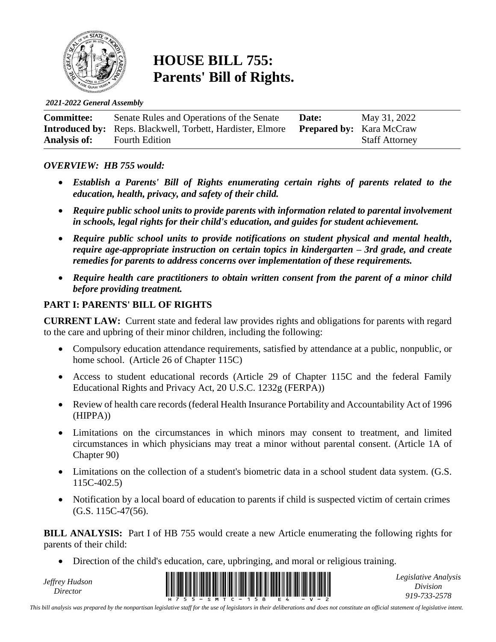

## **HOUSE BILL 755: Parents' Bill of Rights.**

*2021-2022 General Assembly*

| <b>Committee:</b> | Senate Rules and Operations of the Senate                         | Date:                           | May 31, 2022          |
|-------------------|-------------------------------------------------------------------|---------------------------------|-----------------------|
|                   | <b>Introduced by:</b> Reps. Blackwell, Torbett, Hardister, Elmore | <b>Prepared by:</b> Kara McCraw |                       |
| Analysis of:      | <b>Fourth Edition</b>                                             |                                 | <b>Staff Attorney</b> |

#### *OVERVIEW: HB 755 would:*

- *Establish a Parents' Bill of Rights enumerating certain rights of parents related to the education, health, privacy, and safety of their child.*
- *Require public school units to provide parents with information related to parental involvement in schools, legal rights for their child's education, and guides for student achievement.*
- *Require public school units to provide notifications on student physical and mental health, require age-appropriate instruction on certain topics in kindergarten – 3rd grade, and create remedies for parents to address concerns over implementation of these requirements.*
- *Require health care practitioners to obtain written consent from the parent of a minor child before providing treatment.*

#### **PART I: PARENTS' BILL OF RIGHTS**

**CURRENT LAW:** Current state and federal law provides rights and obligations for parents with regard to the care and upbring of their minor children, including the following:

- Compulsory education attendance requirements, satisfied by attendance at a public, nonpublic, or home school. (Article 26 of Chapter 115C)
- Access to student educational records (Article 29 of Chapter 115C and the federal Family Educational Rights and Privacy Act, 20 U.S.C. 1232g (FERPA))
- Review of health care records (federal Health Insurance Portability and Accountability Act of 1996 (HIPPA))
- Limitations on the circumstances in which minors may consent to treatment, and limited circumstances in which physicians may treat a minor without parental consent. (Article 1A of Chapter 90)
- Limitations on the collection of a student's biometric data in a school student data system. (G.S. 115C-402.5)
- Notification by a local board of education to parents if child is suspected victim of certain crimes  $(G.S. 115C-47(56).$

**BILL ANALYSIS:** Part I of HB 755 would create a new Article enumerating the following rights for parents of their child:

• Direction of the child's education, care, upbringing, and moral or religious training.

*Jeffrey Hudson*



*Legislative Analysis Division 919-733-2578*

*This bill analysis was prepared by the nonpartisan legislative staff for the use of legislators in their deliberations and does not constitute an official statement of legislative intent.*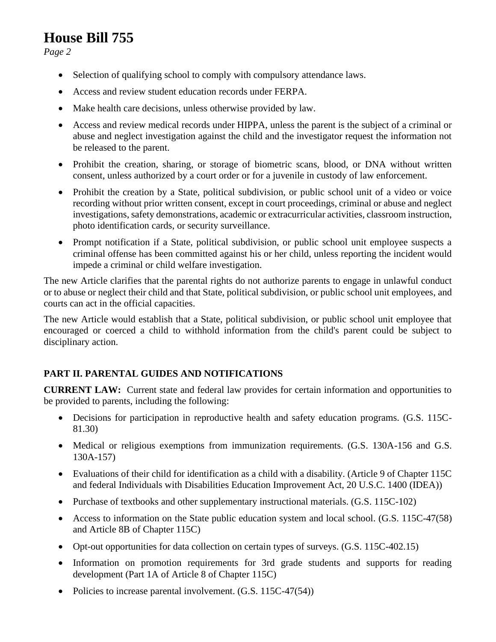*Page 2*

- Selection of qualifying school to comply with compulsory attendance laws.
- Access and review student education records under FERPA.
- Make health care decisions, unless otherwise provided by law.
- Access and review medical records under HIPPA, unless the parent is the subject of a criminal or abuse and neglect investigation against the child and the investigator request the information not be released to the parent.
- Prohibit the creation, sharing, or storage of biometric scans, blood, or DNA without written consent, unless authorized by a court order or for a juvenile in custody of law enforcement.
- Prohibit the creation by a State, political subdivision, or public school unit of a video or voice recording without prior written consent, except in court proceedings, criminal or abuse and neglect investigations, safety demonstrations, academic or extracurricular activities, classroom instruction, photo identification cards, or security surveillance.
- Prompt notification if a State, political subdivision, or public school unit employee suspects a criminal offense has been committed against his or her child, unless reporting the incident would impede a criminal or child welfare investigation.

The new Article clarifies that the parental rights do not authorize parents to engage in unlawful conduct or to abuse or neglect their child and that State, political subdivision, or public school unit employees, and courts can act in the official capacities.

The new Article would establish that a State, political subdivision, or public school unit employee that encouraged or coerced a child to withhold information from the child's parent could be subject to disciplinary action.

#### **PART II. PARENTAL GUIDES AND NOTIFICATIONS**

**CURRENT LAW:** Current state and federal law provides for certain information and opportunities to be provided to parents, including the following:

- Decisions for participation in reproductive health and safety education programs. (G.S. 115C-81.30)
- Medical or religious exemptions from immunization requirements. (G.S. 130A-156 and G.S. 130A-157)
- Evaluations of their child for identification as a child with a disability. (Article 9 of Chapter 115C and federal Individuals with Disabilities Education Improvement Act, 20 U.S.C. 1400 (IDEA))
- Purchase of textbooks and other supplementary instructional materials. (G.S. 115C-102)
- Access to information on the State public education system and local school. (G.S. 115C-47(58) and Article 8B of Chapter 115C)
- Opt-out opportunities for data collection on certain types of surveys. (G.S. 115C-402.15)
- Information on promotion requirements for 3rd grade students and supports for reading development (Part 1A of Article 8 of Chapter 115C)
- Policies to increase parental involvement. (G.S. 115C-47(54))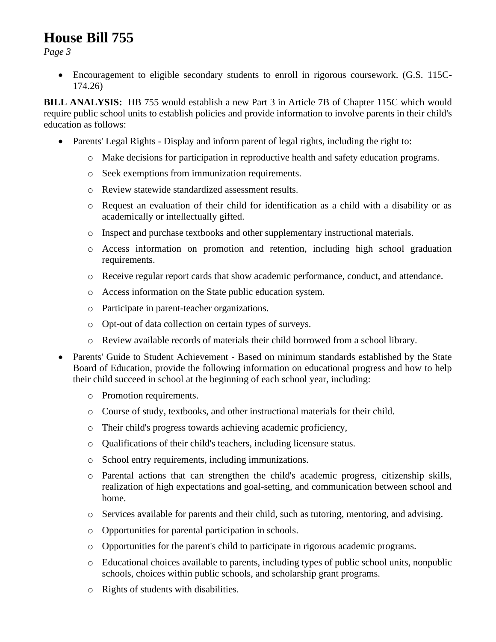*Page 3*

• Encouragement to eligible secondary students to enroll in rigorous coursework. (G.S. 115C-174.26)

**BILL ANALYSIS:** HB 755 would establish a new Part 3 in Article 7B of Chapter 115C which would require public school units to establish policies and provide information to involve parents in their child's education as follows:

- Parents' Legal Rights Display and inform parent of legal rights, including the right to:
	- o Make decisions for participation in reproductive health and safety education programs.
	- o Seek exemptions from immunization requirements.
	- o Review statewide standardized assessment results.
	- o Request an evaluation of their child for identification as a child with a disability or as academically or intellectually gifted.
	- o Inspect and purchase textbooks and other supplementary instructional materials.
	- o Access information on promotion and retention, including high school graduation requirements.
	- o Receive regular report cards that show academic performance, conduct, and attendance.
	- o Access information on the State public education system.
	- o Participate in parent-teacher organizations.
	- o Opt-out of data collection on certain types of surveys.
	- o Review available records of materials their child borrowed from a school library.
- Parents' Guide to Student Achievement Based on minimum standards established by the State Board of Education, provide the following information on educational progress and how to help their child succeed in school at the beginning of each school year, including:
	- o Promotion requirements.
	- o Course of study, textbooks, and other instructional materials for their child.
	- o Their child's progress towards achieving academic proficiency,
	- o Qualifications of their child's teachers, including licensure status.
	- o School entry requirements, including immunizations.
	- o Parental actions that can strengthen the child's academic progress, citizenship skills, realization of high expectations and goal-setting, and communication between school and home.
	- o Services available for parents and their child, such as tutoring, mentoring, and advising.
	- o Opportunities for parental participation in schools.
	- o Opportunities for the parent's child to participate in rigorous academic programs.
	- o Educational choices available to parents, including types of public school units, nonpublic schools, choices within public schools, and scholarship grant programs.
	- o Rights of students with disabilities.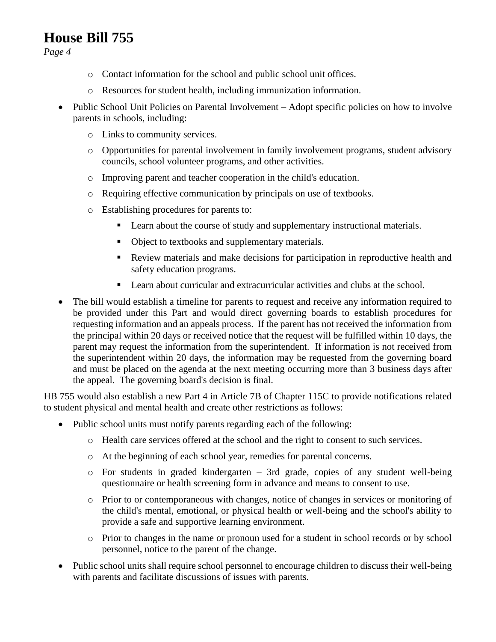*Page 4*

- o Contact information for the school and public school unit offices.
- o Resources for student health, including immunization information.
- Public School Unit Policies on Parental Involvement Adopt specific policies on how to involve parents in schools, including:
	- o Links to community services.
	- o Opportunities for parental involvement in family involvement programs, student advisory councils, school volunteer programs, and other activities.
	- o Improving parent and teacher cooperation in the child's education.
	- o Requiring effective communication by principals on use of textbooks.
	- o Establishing procedures for parents to:
		- Learn about the course of study and supplementary instructional materials.
		- Object to textbooks and supplementary materials.
		- Review materials and make decisions for participation in reproductive health and safety education programs.
		- Learn about curricular and extracurricular activities and clubs at the school.
- The bill would establish a timeline for parents to request and receive any information required to be provided under this Part and would direct governing boards to establish procedures for requesting information and an appeals process. If the parent has not received the information from the principal within 20 days or received notice that the request will be fulfilled within 10 days, the parent may request the information from the superintendent. If information is not received from the superintendent within 20 days, the information may be requested from the governing board and must be placed on the agenda at the next meeting occurring more than 3 business days after the appeal. The governing board's decision is final.

HB 755 would also establish a new Part 4 in Article 7B of Chapter 115C to provide notifications related to student physical and mental health and create other restrictions as follows:

- Public school units must notify parents regarding each of the following:
	- o Health care services offered at the school and the right to consent to such services.
	- o At the beginning of each school year, remedies for parental concerns.
	- o For students in graded kindergarten 3rd grade, copies of any student well-being questionnaire or health screening form in advance and means to consent to use.
	- o Prior to or contemporaneous with changes, notice of changes in services or monitoring of the child's mental, emotional, or physical health or well-being and the school's ability to provide a safe and supportive learning environment.
	- o Prior to changes in the name or pronoun used for a student in school records or by school personnel, notice to the parent of the change.
- Public school units shall require school personnel to encourage children to discuss their well-being with parents and facilitate discussions of issues with parents.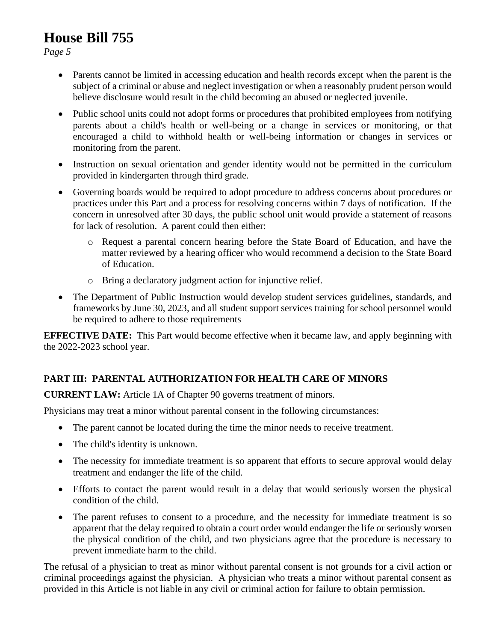*Page 5*

- Parents cannot be limited in accessing education and health records except when the parent is the subject of a criminal or abuse and neglect investigation or when a reasonably prudent person would believe disclosure would result in the child becoming an abused or neglected juvenile.
- Public school units could not adopt forms or procedures that prohibited employees from notifying parents about a child's health or well-being or a change in services or monitoring, or that encouraged a child to withhold health or well-being information or changes in services or monitoring from the parent.
- Instruction on sexual orientation and gender identity would not be permitted in the curriculum provided in kindergarten through third grade.
- Governing boards would be required to adopt procedure to address concerns about procedures or practices under this Part and a process for resolving concerns within 7 days of notification. If the concern in unresolved after 30 days, the public school unit would provide a statement of reasons for lack of resolution. A parent could then either:
	- o Request a parental concern hearing before the State Board of Education, and have the matter reviewed by a hearing officer who would recommend a decision to the State Board of Education.
	- o Bring a declaratory judgment action for injunctive relief.
- The Department of Public Instruction would develop student services guidelines, standards, and frameworks by June 30, 2023, and all student support services training for school personnel would be required to adhere to those requirements

**EFFECTIVE DATE:** This Part would become effective when it became law, and apply beginning with the 2022-2023 school year.

#### **PART III: PARENTAL AUTHORIZATION FOR HEALTH CARE OF MINORS**

**CURRENT LAW:** Article 1A of Chapter 90 governs treatment of minors.

Physicians may treat a minor without parental consent in the following circumstances:

- The parent cannot be located during the time the minor needs to receive treatment.
- The child's identity is unknown.
- The necessity for immediate treatment is so apparent that efforts to secure approval would delay treatment and endanger the life of the child.
- Efforts to contact the parent would result in a delay that would seriously worsen the physical condition of the child.
- The parent refuses to consent to a procedure, and the necessity for immediate treatment is so apparent that the delay required to obtain a court order would endanger the life or seriously worsen the physical condition of the child, and two physicians agree that the procedure is necessary to prevent immediate harm to the child.

The refusal of a physician to treat as minor without parental consent is not grounds for a civil action or criminal proceedings against the physician. A physician who treats a minor without parental consent as provided in this Article is not liable in any civil or criminal action for failure to obtain permission.